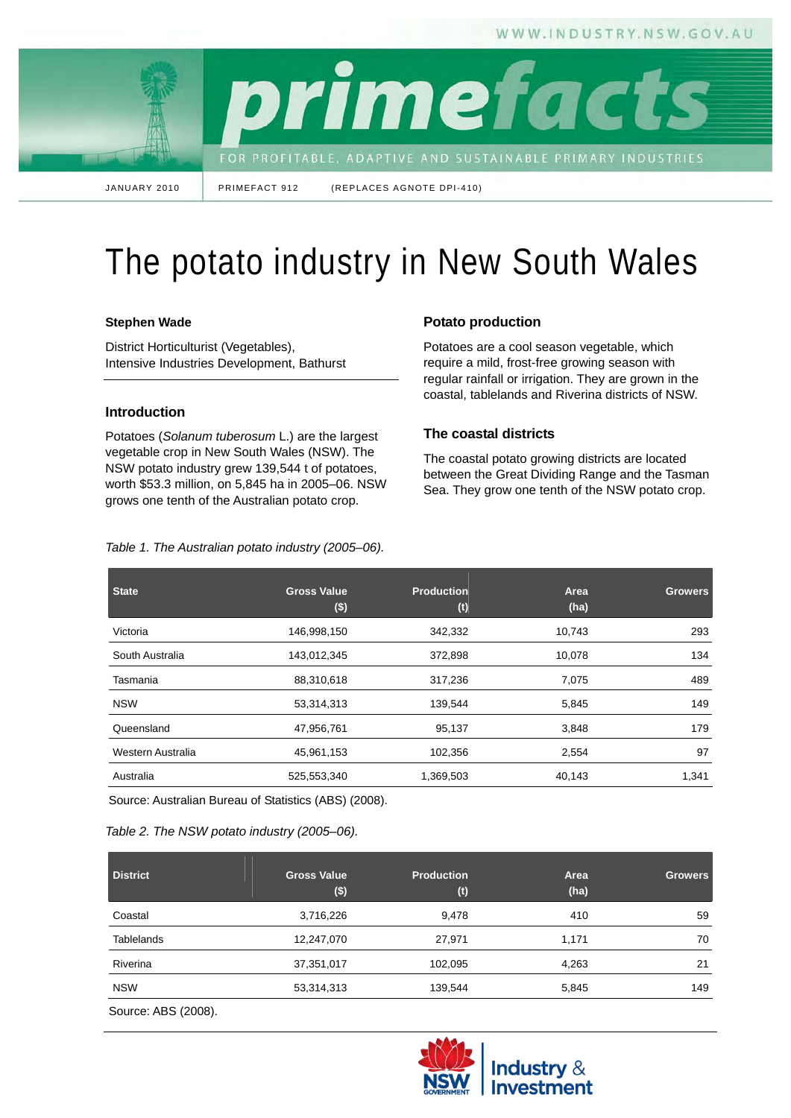WWW.INDUSTRY.NSW.GOV.AU

primefac FOR PROFITABLE, ADAPTIVE AND SUSTAINABLE PRIMARY INDUSTRIES

JANUARY 2010 PRIMEFACT 912 (REPLACES AGNOTE DPI-410)

# The potato industry in New South Wales

## **Stephen Wade**

District Horticulturist (Vegetables), Intensive Industries Development, Bathurst

## **Introduction**

Potatoes (*Solanum tuberosum* L.) are the largest vegetable crop in New South Wales (NSW). The NSW potato industry grew 139,544 t of potatoes, worth \$53.3 million, on 5,845 ha in 2005–06. NSW grows one tenth of the Australian potato crop.

*Table 1. The Australian potato industry (2005–06).* 

# **Potato production**

Potatoes are a cool season vegetable, which require a mild, frost-free growing season with regular rainfall or irrigation. They are grown in the coastal, tablelands and Riverina districts of NSW.

## **The coastal districts**

The coastal potato growing districts are located between the Great Dividing Range and the Tasman Sea. They grow one tenth of the NSW potato crop.

**State Gross Value (\$) Production (t) Area (ha) Growers** Victoria 146,998,150 342,332 10,743 293 South Australia 143,012,345 372,898 10,078 134 Tasmania 88,310,618 317,236 7,075 489 NSW 53,314,313 139,544 5,845 149 Queensland 47,956,761 95,137 3,848 179 Western Australia **102,356** 102,356 2,554 97 Australia 525,553,340 1,369,503 40,143 1,341

Source: Australian Bureau of Statistics (ABS) (2008).

## *Table 2. The NSW potato industry (2005–06).*

| <b>District</b>   | <b>Gross Value</b><br>$($ \$) | Production<br>(t) | Area<br>(ha) | <b>Growers</b> |
|-------------------|-------------------------------|-------------------|--------------|----------------|
| Coastal           | 3,716,226                     | 9,478             | 410          | 59             |
| <b>Tablelands</b> | 12,247,070                    | 27,971            | 1,171        | 70             |
| Riverina          | 37,351,017                    | 102,095           | 4,263        | 21             |
| <b>NSW</b>        | 53,314,313                    | 139,544           | 5,845        | 149            |

Source: ABS (2008).

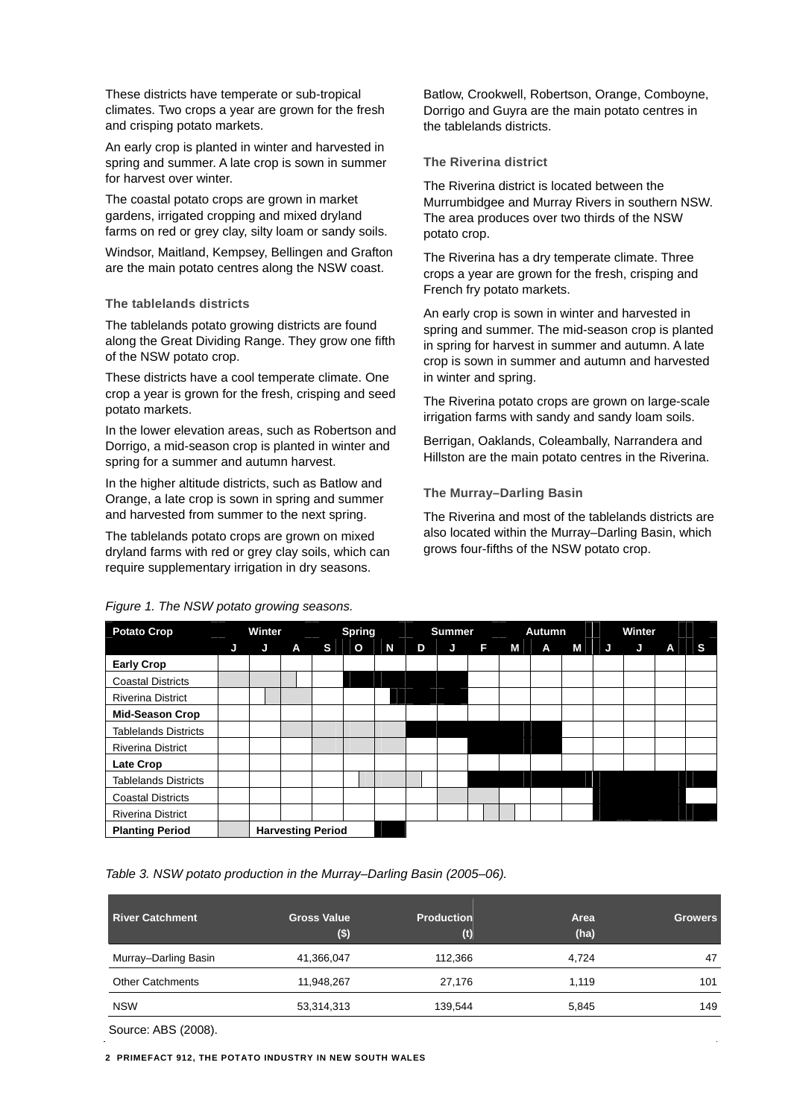These districts have temperate or sub-tropical climates. Two crops a year are grown for the fresh and crisping potato markets.

An early crop is planted in winter and harvested in spring and summer. A late crop is sown in summer for harvest over winter.

The coastal potato crops are grown in market gardens, irrigated cropping and mixed dryland farms on red or grey clay, silty loam or sandy soils.

Windsor, Maitland, Kempsey, Bellingen and Grafton are the main potato centres along the NSW coast.

#### **The tablelands districts**

The tablelands potato growing districts are found along the Great Dividing Range. They grow one fifth of the NSW potato crop.

These districts have a cool temperate climate. One crop a year is grown for the fresh, crisping and seed potato markets.

In the lower elevation areas, such as Robertson and Dorrigo, a mid-season crop is planted in winter and spring for a summer and autumn harvest.

In the higher altitude districts, such as Batlow and Orange, a late crop is sown in spring and summer and harvested from summer to the next spring.

The tablelands potato crops are grown on mixed dryland farms with red or grey clay soils, which can require supplementary irrigation in dry seasons.

## *Figure 1. The NSW potato growing seasons.*

Batlow, Crookwell, Robertson, Orange, Comboyne, Dorrigo and Guyra are the main potato centres in the tablelands districts.

## **The Riverina district**

The Riverina district is located between the Murrumbidgee and Murray Rivers in southern NSW. The area produces over two thirds of the NSW potato crop.

The Riverina has a dry temperate climate. Three crops a year are grown for the fresh, crisping and French fry potato markets.

An early crop is sown in winter and harvested in spring and summer. The mid-season crop is planted in spring for harvest in summer and autumn. A late crop is sown in summer and autumn and harvested in winter and spring.

The Riverina potato crops are grown on large-scale irrigation farms with sandy and sandy loam soils.

Berrigan, Oaklands, Coleambally, Narrandera and Hillston are the main potato centres in the Riverina.

# **The Murray–Darling Basin**

The Riverina and most of the tablelands districts are also located within the Murray–Darling Basin, which grows four-fifths of the NSW potato crop.

| <b>Potato Crop</b>          |   | Winter |                          |    | <b>Spring</b> |   |   | <b>Summer</b> |   |   | Autumn       |   |    | Winter |   |   |
|-----------------------------|---|--------|--------------------------|----|---------------|---|---|---------------|---|---|--------------|---|----|--------|---|---|
|                             | J | Đ      | A                        | S. | $\mathbf{o}$  | N | D | J             | F | м | $\mathbf{A}$ | M | IJ | J      | A | S |
| <b>Early Crop</b>           |   |        |                          |    |               |   |   |               |   |   |              |   |    |        |   |   |
| <b>Coastal Districts</b>    |   |        |                          |    |               |   |   |               |   |   |              |   |    |        |   |   |
| <b>Riverina District</b>    |   |        |                          |    |               |   |   |               |   |   |              |   |    |        |   |   |
| <b>Mid-Season Crop</b>      |   |        |                          |    |               |   |   |               |   |   |              |   |    |        |   |   |
| <b>Tablelands Districts</b> |   |        |                          |    |               |   |   |               |   |   |              |   |    |        |   |   |
| <b>Riverina District</b>    |   |        |                          |    |               |   |   |               |   |   |              |   |    |        |   |   |
| Late Crop                   |   |        |                          |    |               |   |   |               |   |   |              |   |    |        |   |   |
| <b>Tablelands Districts</b> |   |        |                          |    |               |   |   |               |   |   |              |   |    |        |   |   |
| <b>Coastal Districts</b>    |   |        |                          |    |               |   |   |               |   |   |              |   |    |        |   |   |
| <b>Riverina District</b>    |   |        |                          |    |               |   |   |               |   |   |              |   |    |        |   |   |
| <b>Planting Period</b>      |   |        | <b>Harvesting Period</b> |    |               |   |   |               |   |   |              |   |    |        |   |   |

# *Table 3. NSW potato production in the Murray–Darling Basin (2005–06).*

| <b>River Catchment</b>  | <b>Gross Value</b><br>$($ \$) | <b>Production</b><br>(t) | Area<br>(ha) | <b>Growers</b> |
|-------------------------|-------------------------------|--------------------------|--------------|----------------|
| Murray-Darling Basin    | 41,366,047                    | 112,366                  | 4.724        | 47             |
| <b>Other Catchments</b> | 11,948,267                    | 27,176                   | 1.119        | 101            |
| <b>NSW</b>              | 53,314,313                    | 139,544                  | 5,845        | 149            |

Source: ABS (2008).

**2 PRIMEFACT 912, THE POTATO INDUSTRY IN NEW SOUTH WALES**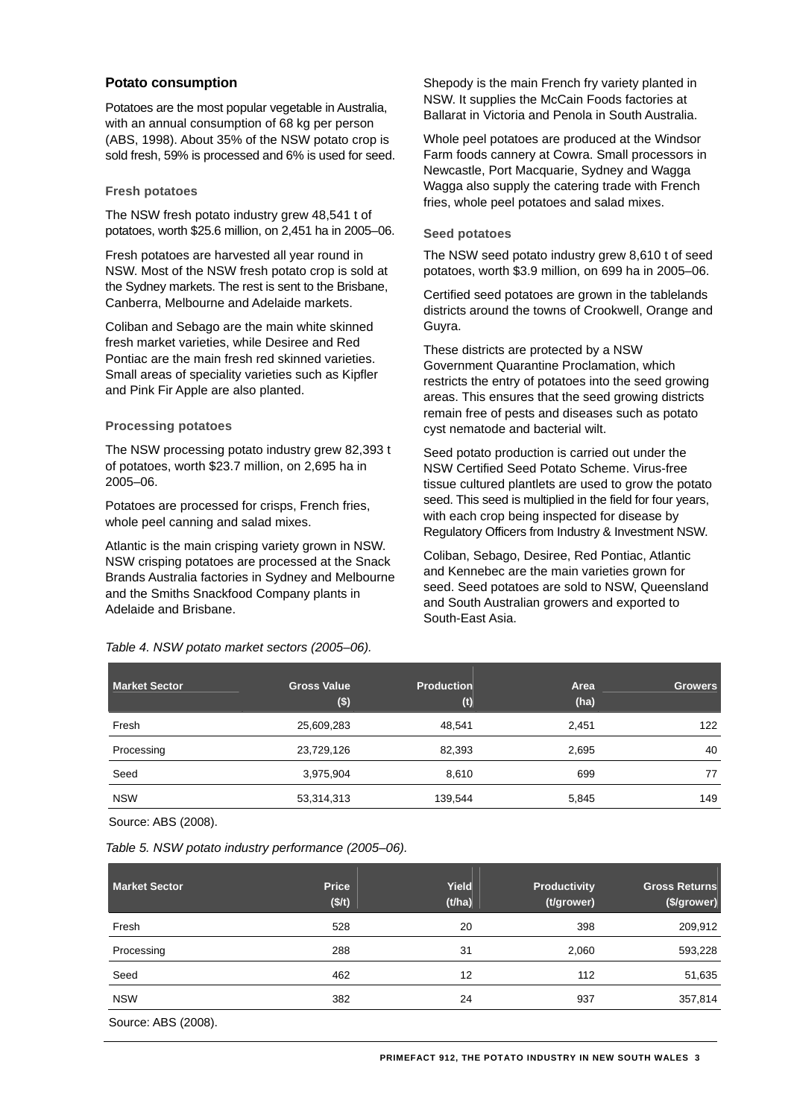## **Potato consumption**

Potatoes are the most popular vegetable in Australia, with an annual consumption of 68 kg per person (ABS, 1998). About 35% of the NSW potato crop is sold fresh, 59% is processed and 6% is used for seed.

#### **Fresh potatoes**

The NSW fresh potato industry grew 48,541 t of potatoes, worth \$25.6 million, on 2,451 ha in 2005–06.

Fresh potatoes are harvested all year round in NSW. Most of the NSW fresh potato crop is sold at the Sydney markets. The rest is sent to the Brisbane, Canberra, Melbourne and Adelaide markets.

Coliban and Sebago are the main white skinned fresh market varieties, while Desiree and Red Pontiac are the main fresh red skinned varieties. Small areas of speciality varieties such as Kipfler and Pink Fir Apple are also planted.

#### **Processing potatoes**

The NSW processing potato industry grew 82,393 t of potatoes, worth \$23.7 million, on 2,695 ha in 2005–06.

Potatoes are processed for crisps, French fries, whole peel canning and salad mixes.

Atlantic is the main crisping variety grown in NSW. NSW crisping potatoes are processed at the Snack Brands Australia factories in Sydney and Melbourne and the Smiths Snackfood Company plants in Adelaide and Brisbane.

*Table 4. NSW potato market sectors (2005–06).* 

Shepody is the main French fry variety planted in NSW. It supplies the McCain Foods factories at Ballarat in Victoria and Penola in South Australia.

Whole peel potatoes are produced at the Windsor Farm foods cannery at Cowra. Small processors in Newcastle, Port Macquarie, Sydney and Wagga Wagga also supply the catering trade with French fries, whole peel potatoes and salad mixes.

#### **Seed potatoes**

The NSW seed potato industry grew 8,610 t of seed potatoes, worth \$3.9 million, on 699 ha in 2005–06.

Certified seed potatoes are grown in the tablelands districts around the towns of Crookwell, Orange and Guyra.

These districts are protected by a NSW Government Quarantine Proclamation, which restricts the entry of potatoes into the seed growing areas. This ensures that the seed growing districts remain free of pests and diseases such as potato cyst nematode and bacterial wilt.

Seed potato production is carried out under the NSW Certified Seed Potato Scheme. Virus-free tissue cultured plantlets are used to grow the potato seed. This seed is multiplied in the field for four years, with each crop being inspected for disease by Regulatory Officers from Industry & Investment NSW.

Coliban, Sebago, Desiree, Red Pontiac, Atlantic and Kennebec are the main varieties grown for seed. Seed potatoes are sold to NSW, Queensland and South Australian growers and exported to South-East Asia.

| <b>Market Sector</b> | <b>Gross Value</b><br>$($ \$) | <b>Production</b><br>(t) | Area<br>(ha) | <b>Growers</b> |
|----------------------|-------------------------------|--------------------------|--------------|----------------|
| Fresh                | 25,609,283                    | 48.541                   | 2,451        | 122            |
| Processing           | 23,729,126                    | 82,393                   | 2,695        | 40             |
| Seed                 | 3,975,904                     | 8,610                    | 699          | 77             |
| <b>NSW</b>           | 53,314,313                    | 139,544                  | 5,845        | 149            |

Source: ABS (2008).

*Table 5. NSW potato industry performance (2005–06).* 

| <b>Market Sector</b> | <b>Price</b><br>(\$/t) | Yield<br>(t/ha) | <b>Productivity</b><br>(t/grower) | <b>Gross Returns</b><br>(\$/grower) |
|----------------------|------------------------|-----------------|-----------------------------------|-------------------------------------|
| Fresh                | 528                    | 20              | 398                               | 209,912                             |
| Processing           | 288                    | 31              | 2,060                             | 593,228                             |
| Seed                 | 462                    | 12              | 112                               | 51,635                              |
| <b>NSW</b>           | 382                    | 24              | 937                               | 357,814                             |
| Source: ABS (2008).  |                        |                 |                                   |                                     |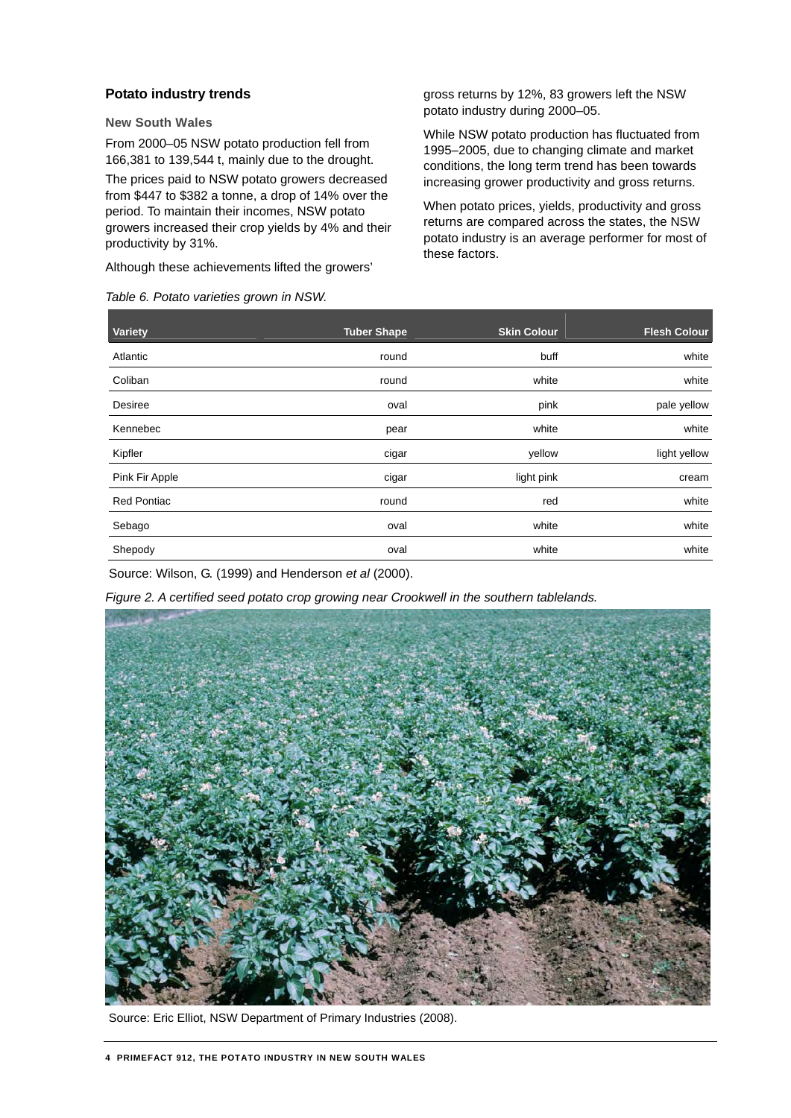# **Potato industry trends**

**New South Wales** 

From 2000–05 NSW potato production fell from 166,381 to 139,544 t, mainly due to the drought.

The prices paid to NSW potato growers decreased from \$447 to \$382 a tonne, a drop of 14% over the period. To maintain their incomes, NSW potato growers increased their crop yields by 4% and their productivity by 31%.

Although these achievements lifted the growers'

#### *Table 6. Potato varieties grown in NSW.*

gross returns by 12%, 83 growers left the NSW potato industry during 2000–05.

While NSW potato production has fluctuated from 1995–2005, due to changing climate and market conditions, the long term trend has been towards increasing grower productivity and gross returns.

When potato prices, yields, productivity and gross returns are compared across the states, the NSW potato industry is an average performer for most of these factors.

| Variety            | <b>Tuber Shape</b> | <b>Skin Colour</b> | <b>Flesh Colour</b> |
|--------------------|--------------------|--------------------|---------------------|
| Atlantic           | round              | buff               | white               |
| Coliban            | round              | white              | white               |
| Desiree            | oval               | pink               | pale yellow         |
| Kennebec           | pear               | white              | white               |
| Kipfler            | cigar              | yellow             | light yellow        |
| Pink Fir Apple     | cigar              | light pink         | cream               |
| <b>Red Pontiac</b> | round              | red                | white               |
| Sebago             | oval               | white              | white               |
| Shepody            | oval               | white              | white               |

Source: Wilson, G. (1999) and Henderson *et al* (2000).

*Figure 2. A certified seed potato crop growing near Crookwell in the southern tablelands.* 



Source: Eric Elliot, NSW Department of Primary Industries (2008).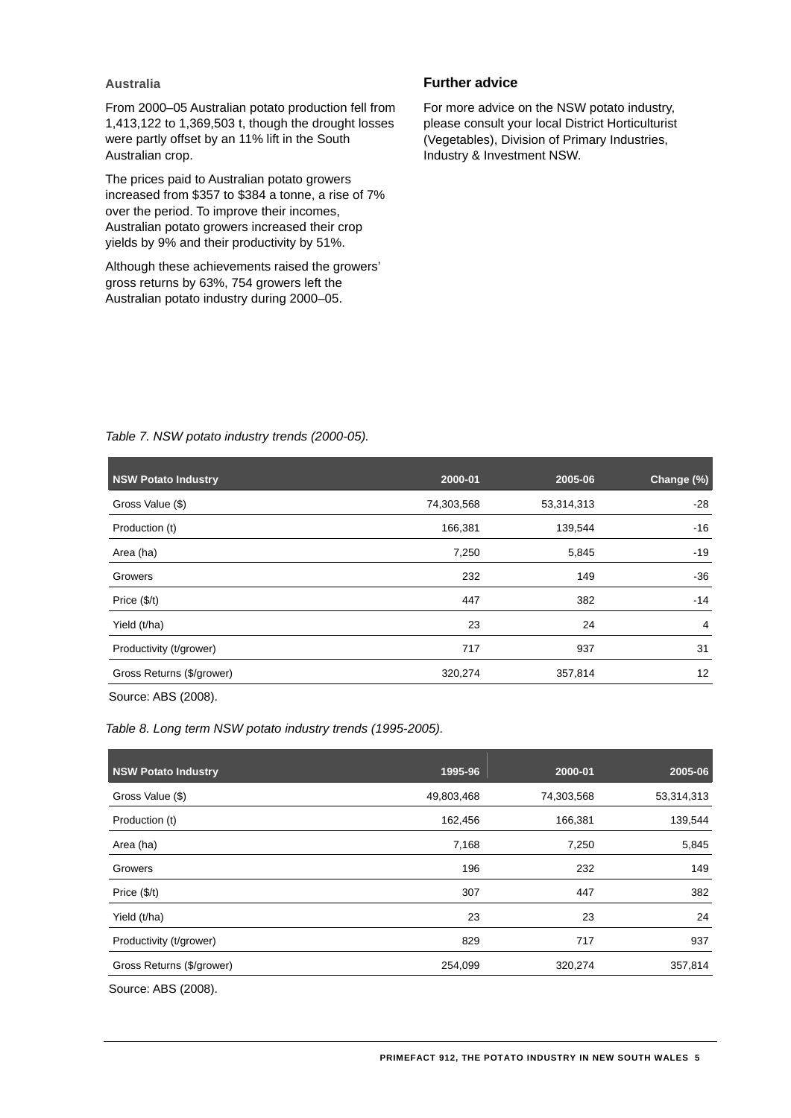# **Australia**

From 2000–05 Australian potato production fell from 1,413,122 to 1,369,503 t, though the drought losses were partly offset by an 11% lift in the South Australian crop.

The prices paid to Australian potato growers increased from \$357 to \$384 a tonne, a rise of 7% over the period. To improve their incomes, Australian potato growers increased their crop yields by 9% and their productivity by 51%.

Although these achievements raised the growers' gross returns by 63%, 754 growers left the Australian potato industry during 2000–05.

# **Further advice**

For more advice on the NSW potato industry, please consult your local District Horticulturist (Vegetables), Division of Primary Industries, Industry & Investment NSW.

| <b>NSW Potato Industry</b> | 2000-01    | 2005-06    | Change (%)     |
|----------------------------|------------|------------|----------------|
| Gross Value (\$)           | 74,303,568 | 53,314,313 | $-28$          |
| Production (t)             | 166,381    | 139,544    | $-16$          |
| Area (ha)                  | 7,250      | 5,845      | $-19$          |
| Growers                    | 232        | 149        | $-36$          |
| Price $(\frac{f}{f})$      | 447        | 382        | $-14$          |
| Yield (t/ha)               | 23         | 24         | $\overline{4}$ |
| Productivity (t/grower)    | 717        | 937        | 31             |
| Gross Returns (\$/grower)  | 320,274    | 357,814    | 12             |
| .                          |            |            |                |

# *Table 7. NSW potato industry trends (2000-05).*

Source: ABS (2008).

*Table 8. Long term NSW potato industry trends (1995-2005).* 

| <b>NSW Potato Industry</b> | 1995-96    | 2000-01    | 2005-06    |
|----------------------------|------------|------------|------------|
| Gross Value (\$)           | 49,803,468 | 74,303,568 | 53,314,313 |
| Production (t)             | 162,456    | 166,381    | 139,544    |
| Area (ha)                  | 7,168      | 7,250      | 5,845      |
| Growers                    | 196        | 232        | 149        |
| Price $(\frac{f}{f})$      | 307        | 447        | 382        |
| Yield (t/ha)               | 23         | 23         | 24         |
| Productivity (t/grower)    | 829        | 717        | 937        |
| Gross Returns (\$/grower)  | 254,099    | 320,274    | 357,814    |
|                            |            |            |            |

Source: ABS (2008).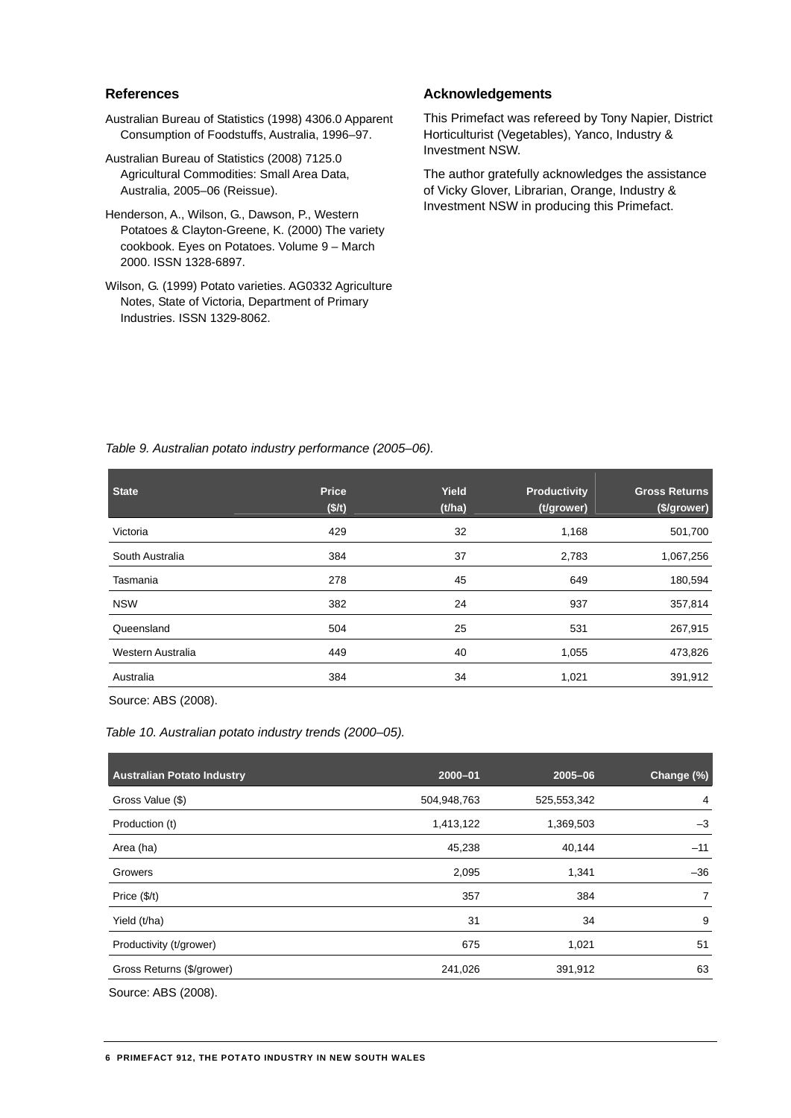# **References**

- Australian Bureau of Statistics (1998) 4306.0 Apparent Consumption of Foodstuffs, Australia, 1996–97.
- Australian Bureau of Statistics (2008) 7125.0 Agricultural Commodities: Small Area Data, Australia, 2005–06 (Reissue).
- Henderson, A., Wilson, G., Dawson, P., Western Potatoes & Clayton-Greene, K. (2000) The variety cookbook. Eyes on Potatoes. Volume 9 – March 2000. ISSN 1328-6897.
- Wilson, G. (1999) Potato varieties. AG0332 Agriculture Notes, State of Victoria, Department of Primary Industries. ISSN 1329-8062.

# **Acknowledgements**

This Primefact was refereed by Tony Napier, District Horticulturist (Vegetables), Yanco, Industry & Investment NSW.

The author gratefully acknowledges the assistance of Vicky Glover, Librarian, Orange, Industry & Investment NSW in producing this Primefact.

| Table 9. Australian potato industry performance (2005-06). |  |  |
|------------------------------------------------------------|--|--|
|                                                            |  |  |

| <b>State</b>      | <b>Price</b><br>(\$/t) | Yield<br>(t/ha) | <b>Productivity</b><br>(t/grower) | <b>Gross Returns</b><br>(\$/grower) |
|-------------------|------------------------|-----------------|-----------------------------------|-------------------------------------|
| Victoria          | 429                    | 32              | 1,168                             | 501,700                             |
| South Australia   | 384                    | 37              | 2,783                             | 1,067,256                           |
| Tasmania          | 278                    | 45              | 649                               | 180,594                             |
| <b>NSW</b>        | 382                    | 24              | 937                               | 357,814                             |
| Queensland        | 504                    | 25              | 531                               | 267,915                             |
| Western Australia | 449                    | 40              | 1,055                             | 473,826                             |
| Australia         | 384                    | 34              | 1,021                             | 391,912                             |

Source: ABS (2008).

*Table 10. Australian potato industry trends (2000–05).* 

| Australian Potato Industry | $2000 - 01$ | $2005 - 06$ | Change (%) |
|----------------------------|-------------|-------------|------------|
| Gross Value (\$)           | 504,948,763 | 525,553,342 | 4          |
| Production (t)             | 1,413,122   | 1,369,503   | $-3$       |
| Area (ha)                  | 45,238      | 40,144      | $-11$      |
| Growers                    | 2,095       | 1,341       | $-36$      |
| Price $(\frac{f}{f})$      | 357         | 384         |            |
| Yield (t/ha)               | 31          | 34          | 9          |
| Productivity (t/grower)    | 675         | 1,021       | 51         |
| Gross Returns (\$/grower)  | 241,026     | 391,912     | 63         |
| .                          |             |             |            |

Source: ABS (2008).